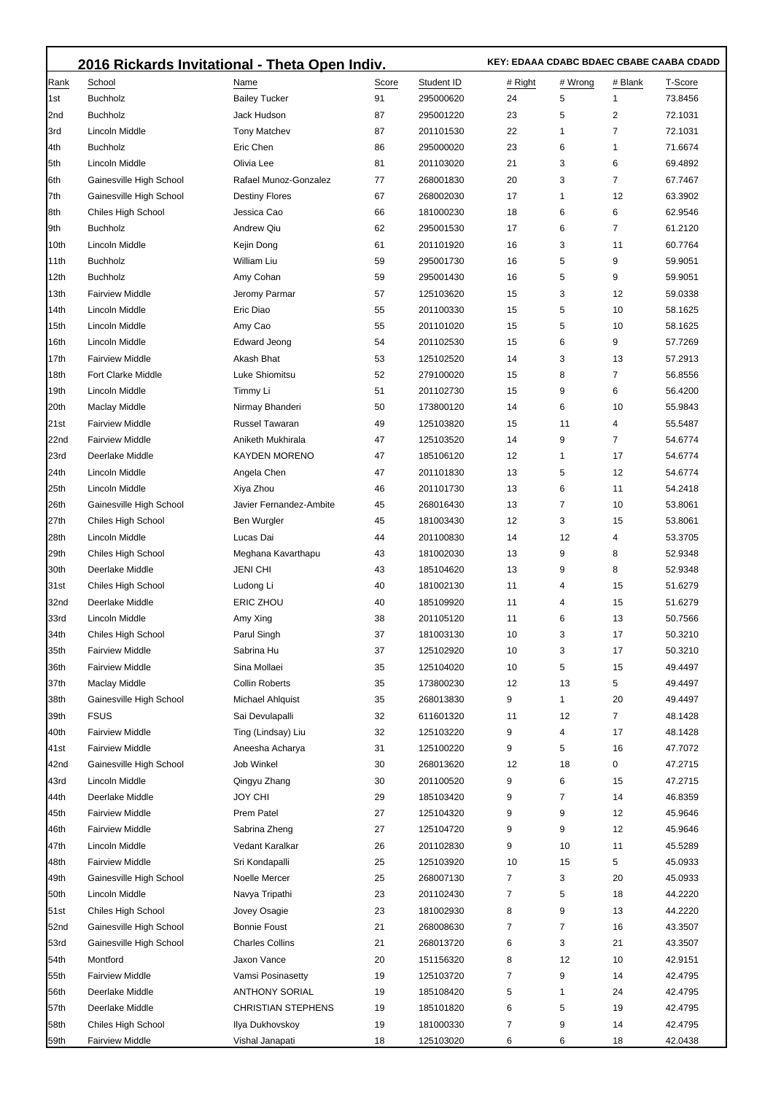|                  | 2016 Rickards Invitational - Theta Open Indiv. |                           |       |            |         | KEY: EDAAA CDABC BDAEC CBABE CAABA CDADD |                |         |  |  |
|------------------|------------------------------------------------|---------------------------|-------|------------|---------|------------------------------------------|----------------|---------|--|--|
| Rank             | School                                         | Name                      | Score | Student ID | # Right | # Wrong                                  | # Blank        | T-Score |  |  |
| 1st              | <b>Buchholz</b>                                | <b>Bailey Tucker</b>      | 91    | 295000620  | 24      | 5                                        | $\mathbf{1}$   | 73.8456 |  |  |
| 2nd              | <b>Buchholz</b>                                | Jack Hudson               | 87    | 295001220  | 23      | 5                                        | $\overline{2}$ | 72.1031 |  |  |
| 3rd              | Lincoln Middle                                 | <b>Tony Matchev</b>       | 87    | 201101530  | 22      | 1                                        | 7              | 72.1031 |  |  |
| 4th              | <b>Buchholz</b>                                | Eric Chen                 | 86    | 295000020  | 23      | 6                                        | $\mathbf{1}$   | 71.6674 |  |  |
| 5th              | Lincoln Middle                                 | Olivia Lee                | 81    | 201103020  | 21      | 3                                        | 6              | 69.4892 |  |  |
| 6th              | Gainesville High School                        | Rafael Munoz-Gonzalez     | 77    | 268001830  | 20      | 3                                        | 7              | 67.7467 |  |  |
| 7th              | Gainesville High School                        | <b>Destiny Flores</b>     | 67    | 268002030  | 17      | 1                                        | 12             | 63.3902 |  |  |
| 8th              | Chiles High School                             | Jessica Cao               | 66    | 181000230  | 18      | 6                                        | 6              | 62.9546 |  |  |
| 9th              | <b>Buchholz</b>                                | <b>Andrew Qiu</b>         | 62    | 295001530  | 17      | 6                                        | 7              | 61.2120 |  |  |
| 10th             | Lincoln Middle                                 | Kejin Dong                | 61    | 201101920  | 16      | 3                                        | 11             | 60.7764 |  |  |
| 11th             | <b>Buchholz</b>                                | William Liu               | 59    | 295001730  | 16      | 5                                        | 9              | 59.9051 |  |  |
| 12th             | <b>Buchholz</b>                                | Amy Cohan                 | 59    | 295001430  | 16      | 5                                        | 9              | 59.9051 |  |  |
| 13th             | <b>Fairview Middle</b>                         | Jeromy Parmar             | 57    | 125103620  | 15      | 3                                        | 12             | 59.0338 |  |  |
| 14th             | Lincoln Middle                                 | Eric Diao                 | 55    | 201100330  | 15      | 5                                        | 10             | 58.1625 |  |  |
| 15th             | Lincoln Middle                                 | Amy Cao                   | 55    | 201101020  | 15      | 5                                        | 10             | 58.1625 |  |  |
| 16th             | Lincoln Middle                                 | <b>Edward Jeong</b>       | 54    | 201102530  | 15      | 6                                        | 9              | 57.7269 |  |  |
| 17th             | <b>Fairview Middle</b>                         | Akash Bhat                | 53    | 125102520  | 14      | 3                                        | 13             | 57.2913 |  |  |
| 18th             | <b>Fort Clarke Middle</b>                      | Luke Shiomitsu            | 52    | 279100020  | 15      | 8                                        | 7              | 56.8556 |  |  |
| 19th             | Lincoln Middle                                 | Timmy Li                  | 51    | 201102730  | 15      | 9                                        | 6              | 56.4200 |  |  |
| 20th             | Maclay Middle                                  | Nirmay Bhanderi           | 50    | 173800120  | 14      | 6                                        | 10             | 55.9843 |  |  |
|                  | <b>Fairview Middle</b>                         | Russel Tawaran            | 49    | 125103820  | 15      | 11                                       | 4              |         |  |  |
| 21st             |                                                |                           |       |            |         |                                          |                | 55.5487 |  |  |
| 22nd             | <b>Fairview Middle</b>                         | Aniketh Mukhirala         | 47    | 125103520  | 14      | 9                                        | 7              | 54.6774 |  |  |
| 23rd             | Deerlake Middle                                | <b>KAYDEN MORENO</b>      | 47    | 185106120  | 12      | 1                                        | 17             | 54.6774 |  |  |
| 24th             | Lincoln Middle                                 | Angela Chen               | 47    | 201101830  | 13      | 5                                        | 12             | 54.6774 |  |  |
| 25th             | Lincoln Middle                                 | Xiya Zhou                 | 46    | 201101730  | 13      | 6                                        | 11             | 54.2418 |  |  |
| 26th             | Gainesville High School                        | Javier Fernandez-Ambite   | 45    | 268016430  | 13      | 7                                        | 10             | 53.8061 |  |  |
| 27th             | Chiles High School                             | Ben Wurgler               | 45    | 181003430  | 12      | 3                                        | 15             | 53.8061 |  |  |
| 28th             | Lincoln Middle                                 | Lucas Dai                 | 44    | 201100830  | 14      | 12                                       | 4              | 53.3705 |  |  |
| 29th             | Chiles High School                             | Meghana Kavarthapu        | 43    | 181002030  | 13      | 9                                        | 8              | 52.9348 |  |  |
| 30th             | Deerlake Middle                                | <b>JENI CHI</b>           | 43    | 185104620  | 13      | 9                                        | 8              | 52.9348 |  |  |
| 31st             | Chiles High School                             | Ludong Li                 | 40    | 181002130  | 11      | 4                                        | 15             | 51.6279 |  |  |
| 32nd             | Deerlake Middle                                | ERIC ZHOU                 | 40    | 185109920  | 11      | 4                                        | 15             | 51.6279 |  |  |
| 33rd             | Lincoln Middle                                 | Amy Xing                  | 38    | 201105120  | 11      | 6                                        | 13             | 50.7566 |  |  |
| 34 <sub>th</sub> | Chiles High School                             | Parul Singh               | 37    | 181003130  | 10      | 3                                        | 17             | 50.3210 |  |  |
| 35th             | <b>Fairview Middle</b>                         | Sabrina Hu                | 37    | 125102920  | 10      | 3                                        | 17             | 50.3210 |  |  |
| 36th             | <b>Fairview Middle</b>                         | Sina Mollaei              | 35    | 125104020  | 10      | 5                                        | 15             | 49.4497 |  |  |
| 37th             | Maclay Middle                                  | <b>Collin Roberts</b>     | 35    | 173800230  | 12      | 13                                       | 5              | 49.4497 |  |  |
| 38th             | Gainesville High School                        | Michael Ahlquist          | 35    | 268013830  | 9       | 1                                        | 20             | 49.4497 |  |  |
| 39th             | <b>FSUS</b>                                    | Sai Devulapalli           | 32    | 611601320  | 11      | 12                                       | 7              | 48.1428 |  |  |
| 40th             | <b>Fairview Middle</b>                         | Ting (Lindsay) Liu        | 32    | 125103220  | 9       | 4                                        | 17             | 48.1428 |  |  |
| 41 <sub>st</sub> | <b>Fairview Middle</b>                         | Aneesha Acharya           | 31    | 125100220  | 9       | 5                                        | 16             | 47.7072 |  |  |
| 42nd             | Gainesville High School                        | Job Winkel                | 30    | 268013620  | 12      | 18                                       | 0              | 47.2715 |  |  |
| 43rd             | Lincoln Middle                                 | Qingyu Zhang              | 30    | 201100520  | 9       | 6                                        | 15             | 47.2715 |  |  |
| 44th             | Deerlake Middle                                | <b>JOY CHI</b>            | 29    | 185103420  | 9       | 7                                        | 14             | 46.8359 |  |  |
| 45th             | <b>Fairview Middle</b>                         | Prem Patel                | 27    | 125104320  | 9       | 9                                        | 12             | 45.9646 |  |  |
| 46th             | <b>Fairview Middle</b>                         | Sabrina Zheng             | 27    | 125104720  | 9       | 9                                        | 12             | 45.9646 |  |  |
| 47th             | Lincoln Middle                                 | Vedant Karalkar           | 26    | 201102830  | 9       | 10                                       | 11             | 45.5289 |  |  |
| 48th             | <b>Fairview Middle</b>                         | Sri Kondapalli            | 25    | 125103920  | 10      | 15                                       | 5              | 45.0933 |  |  |
| 49th             | Gainesville High School                        | Noelle Mercer             | 25    | 268007130  | 7       | 3                                        | 20             | 45.0933 |  |  |
| 50th             | Lincoln Middle                                 | Navya Tripathi            | 23    | 201102430  | 7       | 5                                        | 18             | 44.2220 |  |  |
| <b>51st</b>      | Chiles High School                             | Jovey Osagie              | 23    | 181002930  | 8       | 9                                        | 13             | 44.2220 |  |  |
| 52nd             | Gainesville High School                        | <b>Bonnie Foust</b>       | 21    | 268008630  | 7       | 7                                        | 16             | 43.3507 |  |  |
| 53rd             | Gainesville High School                        | <b>Charles Collins</b>    | 21    | 268013720  | 6       | 3                                        | 21             | 43.3507 |  |  |
| 54th             | Montford                                       | Jaxon Vance               | 20    | 151156320  | 8       | 12                                       | 10             | 42.9151 |  |  |
| 55th             | <b>Fairview Middle</b>                         | Vamsi Posinasetty         | 19    | 125103720  | 7       | 9                                        | 14             | 42.4795 |  |  |
| 56th             | Deerlake Middle                                | <b>ANTHONY SORIAL</b>     | 19    | 185108420  | 5       | 1                                        | 24             | 42.4795 |  |  |
| 57th             | Deerlake Middle                                | <b>CHRISTIAN STEPHENS</b> | 19    | 185101820  | 6       | 5                                        | 19             | 42.4795 |  |  |
| 58th             | Chiles High School                             | Ilya Dukhovskoy           | 19    | 181000330  | 7       | 9                                        | 14             | 42.4795 |  |  |
| 59th             | <b>Fairview Middle</b>                         | Vishal Janapati           | 18    | 125103020  | 6       | 6                                        | 18             | 42.0438 |  |  |